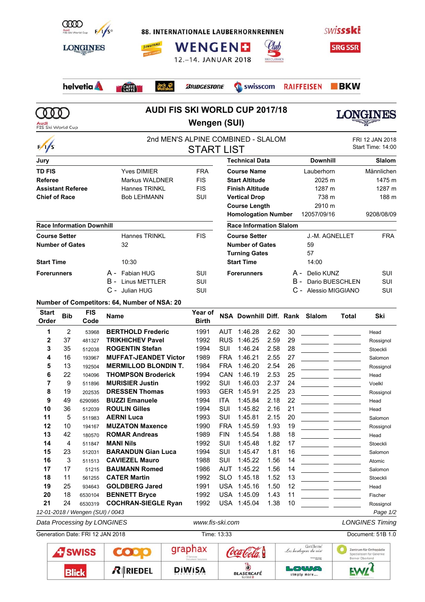| <b>COOD</b><br>Audi<br>FIS Ski World Cup<br><b>LONGINES</b> | $F/JS^{\circ}$<br><b>JUNGFRAU</b> | <b>WENGENE</b><br>12.-14. JANUAR 2018 | <b>88. INTERNATIONALE LAUBERHORNRENNEN</b><br><b>SKI CLASSICS</b> | <b>SWISSSKE</b><br><b>SRG SSR</b>       |                                      |
|-------------------------------------------------------------|-----------------------------------|---------------------------------------|-------------------------------------------------------------------|-----------------------------------------|--------------------------------------|
| helvetia A                                                  | Jack<br>Wolfskin<br>CAFFE         | <b><i>BRIDGESTONE</i></b>             | Swisscom                                                          | $\blacksquare$ BKW<br><b>RAIFFEISEN</b> |                                      |
| FIS Ski World Cup                                           |                                   | Wengen (SUI)                          | <b>AUDI FIS SKI WORLD CUP 2017/18</b>                             |                                         |                                      |
| $\frac{1}{s}$                                               |                                   | <b>START LIST</b>                     | 2nd MEN'S ALPINE COMBINED - SLALOM                                |                                         | FRI 12 JAN 2018<br>Start Time: 14:00 |
| Jury                                                        |                                   |                                       | <b>Technical Data</b>                                             | <b>Downhill</b>                         | <b>Slalom</b>                        |
| <b>TD FIS</b>                                               | <b>Yves DIMIER</b>                | <b>FRA</b>                            | <b>Course Name</b>                                                | Lauberhorn                              | Männlichen                           |
| <b>Referee</b>                                              | Markus WALDNER                    | <b>FIS</b>                            | <b>Start Altitude</b>                                             | 2025 m                                  | 1475 m                               |
| <b>Assistant Referee</b>                                    | <b>Hannes TRINKL</b>              | <b>FIS</b>                            | <b>Finish Altitude</b>                                            | 1287 m                                  | 1287 m                               |
| <b>Chief of Race</b>                                        | <b>Bob LEHMANN</b>                | SUI                                   | <b>Vertical Drop</b>                                              | 738 m                                   | 188 m                                |
|                                                             |                                   |                                       | <b>Course Length</b>                                              | 2910 m                                  |                                      |
|                                                             |                                   |                                       | <b>Homologation Number</b>                                        | 12057/09/16                             | 9208/08/09                           |
| <b>Race Information Downhill</b>                            |                                   |                                       | <b>Race Information Slalom</b>                                    |                                         |                                      |
| <b>Course Setter</b>                                        | <b>Hannes TRINKL</b>              | <b>FIS</b>                            | <b>Course Setter</b>                                              | J.-M. AGNELLET                          | <b>FRA</b>                           |
| <b>Number of Gates</b>                                      | 32                                |                                       | <b>Number of Gates</b>                                            | 59                                      |                                      |
|                                                             |                                   |                                       | <b>Turning Gates</b>                                              | 57                                      |                                      |
| <b>Start Time</b>                                           | 10:30                             |                                       | <b>Start Time</b>                                                 | 14:00                                   |                                      |
| <b>Forerunners</b>                                          | Fabian HUG<br>А -                 | SUI                                   | <b>Forerunners</b>                                                | Delio KUNZ<br>А -                       | SUI                                  |
|                                                             | <b>Linus METTLER</b><br>в.        | SUI                                   |                                                                   | Dario BUESCHLEN<br>в -                  | <b>SUI</b>                           |
|                                                             | C -<br>Julian HUG                 | SUI                                   |                                                                   | C - Alessio MIGGIANO                    | <b>SUI</b>                           |

**Number of Competitors: 64, Number of NSA: 20**

| <b>Start</b><br>Order | <b>Bib</b>     | <b>FIS</b><br>Code               | <b>Name</b>                  | Year of<br><b>Birth</b> |            | NSA Downhill Diff. Rank Slalom |      |    |                                                                                                                                                                                                                                      | <b>Total</b> | Ski       |
|-----------------------|----------------|----------------------------------|------------------------------|-------------------------|------------|--------------------------------|------|----|--------------------------------------------------------------------------------------------------------------------------------------------------------------------------------------------------------------------------------------|--------------|-----------|
| 1                     | $\overline{2}$ | 53968                            | <b>BERTHOLD Frederic</b>     | 1991                    | <b>AUT</b> | 1:46.28                        | 2.62 | 30 |                                                                                                                                                                                                                                      |              | Head      |
| $\overline{2}$        | 37             | 481327                           | <b>TRIKHICHEV Pavel</b>      | 1992                    | <b>RUS</b> | 1:46.25                        | 2.59 | 29 |                                                                                                                                                                                                                                      |              | Rossignol |
| 3                     | 35             | 512038                           | <b>ROGENTIN Stefan</b>       | 1994                    | <b>SUI</b> | 1:46.24                        | 2.58 | 28 |                                                                                                                                                                                                                                      |              | Stoeckli  |
| 4                     | 16             | 193967                           | <b>MUFFAT-JEANDET Victor</b> | 1989                    | <b>FRA</b> | 1:46.21                        | 2.55 | 27 |                                                                                                                                                                                                                                      |              | Salomon   |
| 5                     | 13             | 192504                           | <b>MERMILLOD BLONDIN T.</b>  | 1984                    | <b>FRA</b> | 1:46.20                        | 2.54 | 26 |                                                                                                                                                                                                                                      |              | Rossignol |
| 6                     | 22             | 104096                           | <b>THOMPSON Broderick</b>    | 1994                    | CAN        | 1:46.19                        | 2.53 | 25 |                                                                                                                                                                                                                                      |              | Head      |
| 7                     | 9              | 511896                           | <b>MURISIER Justin</b>       | 1992                    | <b>SUI</b> | 1:46.03                        | 2.37 | 24 |                                                                                                                                                                                                                                      |              | Voelkl    |
| 8                     | 19             | 202535                           | <b>DRESSEN Thomas</b>        | 1993                    | <b>GER</b> | 1:45.91                        | 2.25 | 23 |                                                                                                                                                                                                                                      |              | Rossignol |
| 9                     | 49             | 6290985                          | <b>BUZZI Emanuele</b>        | 1994                    | <b>ITA</b> | 1:45.84                        | 2.18 | 22 | <u> 1999 - Jan Barbara Barat, prima politik po</u>                                                                                                                                                                                   |              | Head      |
| 10                    | 36             | 512039                           | <b>ROULIN Gilles</b>         | 1994                    | SUI        | 1:45.82                        | 2.16 | 21 |                                                                                                                                                                                                                                      |              | Head      |
| 11                    | 5              | 511983                           | <b>AERNI Luca</b>            | 1993                    | SUI        | 1:45.81                        | 2.15 | 20 | <u> 1999 - Jan James James III, primeirant politik (</u>                                                                                                                                                                             |              | Salomon   |
| 12                    | 10             | 194167                           | <b>MUZATON Maxence</b>       | 1990                    | <b>FRA</b> | 1:45.59                        | 1.93 | 19 |                                                                                                                                                                                                                                      |              | Rossignol |
| 13                    | 42             | 180570                           | <b>ROMAR Andreas</b>         | 1989                    | <b>FIN</b> | 1:45.54                        | 1.88 | 18 | <u> 1999 - John Harry John Harry Barns</u>                                                                                                                                                                                           |              | Head      |
| 14                    | 4              | 511847                           | <b>MANI Nils</b>             | 1992                    | SUI        | 1:45.48                        | 1.82 | 17 |                                                                                                                                                                                                                                      |              | Stoeckli  |
| 15                    | 23             | 512031                           | <b>BARANDUN Gian Luca</b>    | 1994                    | SUI        | 1:45.47                        | 1.81 | 16 | <u> 1999 - Jan James James Barnett, primeirann an iar an t-</u>                                                                                                                                                                      |              | Salomon   |
| 16                    | 3              | 511513                           | <b>CAVIEZEL Mauro</b>        | 1988                    | SUI        | 1:45.22                        | 1.56 | 14 |                                                                                                                                                                                                                                      |              | Atomic    |
| 17                    | 17             | 51215                            | <b>BAUMANN Romed</b>         | 1986                    | <b>AUT</b> | 1:45.22                        | 1.56 | 14 | <u> 1999 - John Harry Barn, mars a</u>                                                                                                                                                                                               |              | Salomon   |
| 18                    | 11             | 561255                           | <b>CATER Martin</b>          | 1992                    | <b>SLO</b> | 1:45.18                        | 1.52 | 13 | <u> 1999 - Johann John Stone, markin</u>                                                                                                                                                                                             |              | Stoeckli  |
| 19                    | 25             | 934643                           | <b>GOLDBERG Jared</b>        | 1991                    | <b>USA</b> | 1:45.16                        | 1.50 | 12 | <u> 1999 - Johann John Harry Store Barnett av den stadt f</u>                                                                                                                                                                        |              | Head      |
| 20                    | 18             | 6530104                          | <b>BENNETT Bryce</b>         | 1992                    | <b>USA</b> | 1:45.09                        | 1.43 | 11 | <u> 1990 - John Harry John Harry Harry Harry Harry Harry Harry Harry Harry Harry Harry Harry Harry Harry Harry Harry Harry Harry Harry Harry Harry Harry Harry Harry Harry Harry Harry Harry Harry Harry Harry Harry Harry Harry</u> |              | Fischer   |
| 21                    | 24             | 6530319                          | <b>COCHRAN-SIEGLE Ryan</b>   | 1992                    |            | USA 1:45.04                    | 1.38 | 10 |                                                                                                                                                                                                                                      |              | Rossignol |
|                       |                | 12-01-2018 / Wengen (SUI) / 0043 |                              |                         |            |                                |      |    |                                                                                                                                                                                                                                      |              | Page 1/2  |

*Data Processing by LONGINES www.fis-ski.com LONGINES Timing*

| Generation Date: FRI 12 JAN 2018 |                |            | Time: 13:33   |                                     | Document: 51B 1.0                                                              |                                                                       |
|----------------------------------|----------------|------------|---------------|-------------------------------------|--------------------------------------------------------------------------------|-----------------------------------------------------------------------|
|                                  | <b>ATSWISS</b> |            | graphax       |                                     | Grillette<br>Les horlogers du vin<br><b>Samurne De Limieux</b><br>Albana (Alba | Zentrum für Orthopädie<br>Spezialisten für Gelenke<br>Berner Oberland |
|                                  | Rlick          | $R$ RIEDEL | <b>DIWISA</b> | <b>BLASERCAFÉ</b><br><b>SUISSED</b> | <b>LOWUA</b><br>simply more                                                    | <b>EXAIT!</b>                                                         |